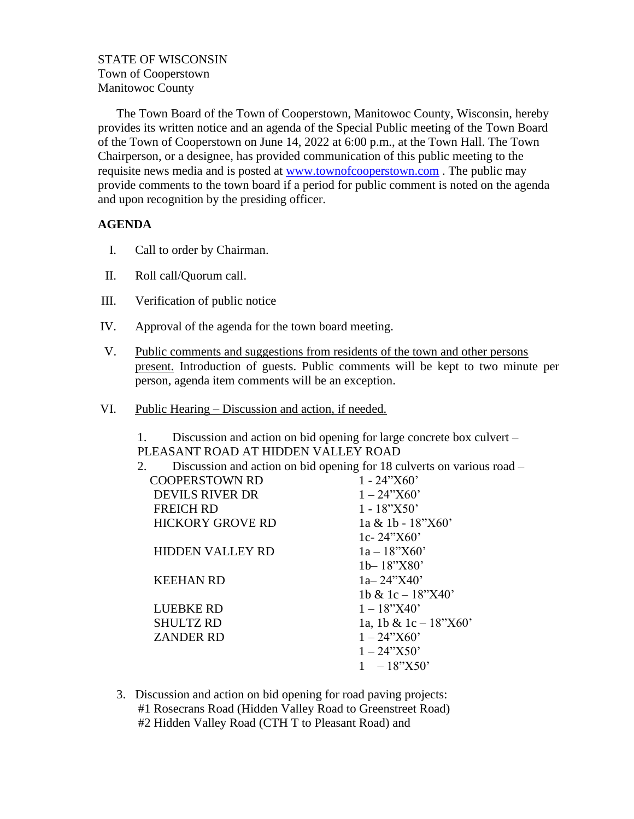## STATE OF WISCONSIN Town of Cooperstown Manitowoc County

The Town Board of the Town of Cooperstown, Manitowoc County, Wisconsin, hereby provides its written notice and an agenda of the Special Public meeting of the Town Board of the Town of Cooperstown on June 14, 2022 at 6:00 p.m., at the Town Hall. The Town Chairperson, or a designee, has provided communication of this public meeting to the requisite news media and is posted at [www.townofcooperstown.com](http://www.townofcooperstown.com/) . The public may provide comments to the town board if a period for public comment is noted on the agenda and upon recognition by the presiding officer.

## **AGENDA**

- I. Call to order by Chairman.
- II. Roll call/Quorum call.
- III. Verification of public notice
- IV. Approval of the agenda for the town board meeting.
- V. Public comments and suggestions from residents of the town and other persons present. Introduction of guests. Public comments will be kept to two minute per person, agenda item comments will be an exception.
- VI. Public Hearing Discussion and action, if needed.

1. Discussion and action on bid opening for large concrete box culvert – PLEASANT ROAD AT HIDDEN VALLEY ROAD

| 2.                      | Discussion and action on bid opening for 18 culverts on various road – |
|-------------------------|------------------------------------------------------------------------|
| <b>COOPERSTOWN RD</b>   | $1 - 24$ "X60"                                                         |
| <b>DEVILS RIVER DR</b>  | $1 - 24$ "X60"                                                         |
| <b>FREICH RD</b>        | $1 - 18$ "X50"                                                         |
| <b>HICKORY GROVE RD</b> | $1a \& 1b - 18$ "X60"                                                  |
|                         | 1c-24"X60"                                                             |
| <b>HIDDEN VALLEY RD</b> | $1a - 18$ "X60"                                                        |
|                         | $1b - 18$ "X80"                                                        |
| <b>KEEHAN RD</b>        | $1a - 24$ "X40"                                                        |
|                         | 1b & 1c $-$ 18"X40"                                                    |
| <b>LUEBKE RD</b>        | $1 - 18$ "X40"                                                         |
| <b>SHULTZ RD</b>        | 1a, 1b & 1c $-18"X60"$                                                 |
| <b>ZANDER RD</b>        | $1 - 24$ "X60'                                                         |
|                         | $1 - 24$ "X50"                                                         |
|                         | $-18"X50"$                                                             |
|                         |                                                                        |

3. Discussion and action on bid opening for road paving projects: #1 Rosecrans Road (Hidden Valley Road to Greenstreet Road) #2 Hidden Valley Road (CTH T to Pleasant Road) and